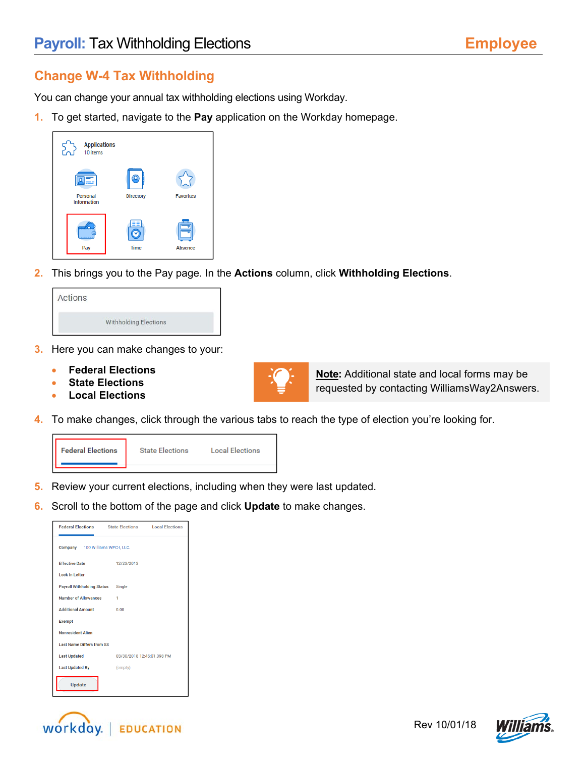## **Change W-4 Tax Withholding**

You can change your annual tax withholding elections using Workday.

**1.** To get started, navigate to the **Pay** application on the Workday homepage.

| <b>Applications</b><br>10 items |                  |                  |
|---------------------------------|------------------|------------------|
| Personal<br><b>Information</b>  | <b>Directory</b> | <b>Favorites</b> |
| Pay                             | Time             | Absence          |

**2.** This brings you to the Pay page. In the **Actions** column, click **Withholding Elections**.

| Actions |                                                            |  |
|---------|------------------------------------------------------------|--|
|         | Withholding Elections<br><b>CONTRACTOR</b> AND ARTISTS AND |  |

- **3.** Here you can make changes to your:
	- **Federal Elections**
	- **State Elections**
	- **Local Elections**



**Note:** Additional state and local forms may be requested by contacting WilliamsWay2Answers.

**4.** To make changes, click through the various tabs to reach the type of election you're looking for.



- **5.** Review your current elections, including when they were last updated.
- **6.** Scroll to the bottom of the page and click **Update** to make changes.

| <b>Federal Elections</b>          | <b>State Elections</b>     | <b>Local Elections</b> |
|-----------------------------------|----------------------------|------------------------|
| Company 100 Williams WPC-I, LLC.  |                            |                        |
| <b>Effective Date</b>             | 12/23/2013                 |                        |
| <b>Lock In Letter</b>             |                            |                        |
| <b>Payroll Withholding Status</b> | Single                     |                        |
| <b>Number of Allowances</b>       | 1                          |                        |
| <b>Additional Amount</b>          | 0.00                       |                        |
| <b>Exempt</b>                     |                            |                        |
| <b>Nonresident Alien</b>          |                            |                        |
| <b>Last Name Differs from SS</b>  |                            |                        |
| <b>Last Updated</b>               | 03/30/2018 12:45:01.098 PM |                        |
| <b>Last Updated By</b>            | (empty)                    |                        |
| <b>Update</b>                     |                            |                        |